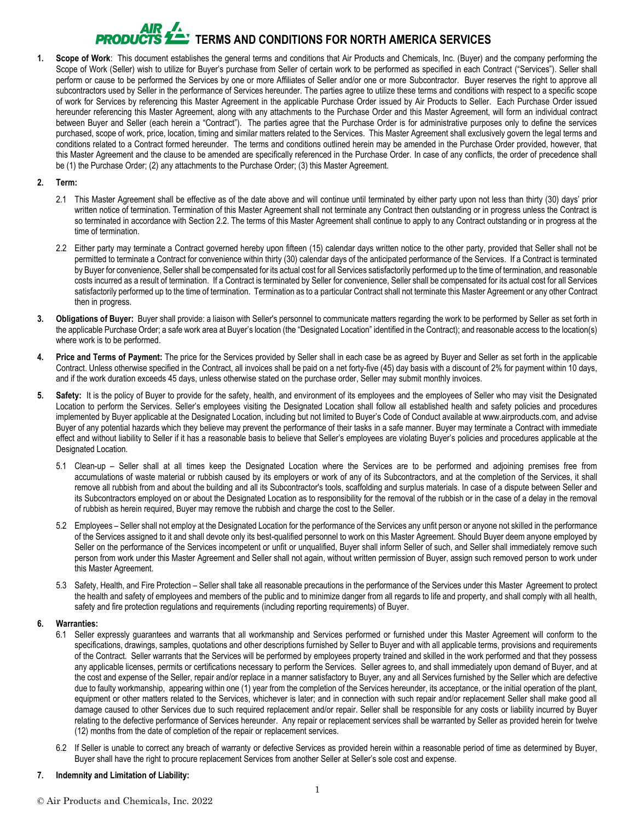# **EXAMPLE TERMS AND CONDITIONS FOR NORTH AMERICA SERVICES**

**1. Scope of Work**: This document establishes the general terms and conditions that Air Products and Chemicals, Inc. (Buyer) and the company performing the Scope of Work (Seller) wish to utilize for Buyer's purchase from Seller of certain work to be performed as specified in each Contract ("Services"). Seller shall perform or cause to be performed the Services by one or more Affiliates of Seller and/or one or more Subcontractor. Buyer reserves the right to approve all subcontractors used by Seller in the performance of Services hereunder. The parties agree to utilize these terms and conditions with respect to a specific scope of work for Services by referencing this Master Agreement in the applicable Purchase Order issued by Air Products to Seller. Each Purchase Order issued hereunder referencing this Master Agreement, along with any attachments to the Purchase Order and this Master Agreement, will form an individual contract between Buyer and Seller (each herein a "Contract"). The parties agree that the Purchase Order is for administrative purposes only to define the services purchased, scope of work, price, location, timing and similar matters related to the Services. This Master Agreement shall exclusively govern the legal terms and conditions related to a Contract formed hereunder. The terms and conditions outlined herein may be amended in the Purchase Order provided, however, that this Master Agreement and the clause to be amended are specifically referenced in the Purchase Order. In case of any conflicts, the order of precedence shall be (1) the Purchase Order; (2) any attachments to the Purchase Order; (3) this Master Agreement.

#### **2. Term:**

- 2.1 This Master Agreement shall be effective as of the date above and will continue until terminated by either party upon not less than thirty (30) days' prior written notice of termination. Termination of this Master Agreement shall not terminate any Contract then outstanding or in progress unless the Contract is so terminated in accordance with Section 2.2. The terms of this Master Agreement shall continue to apply to any Contract outstanding or in progress at the time of termination.
- 2.2 Either party may terminate a Contract governed hereby upon fifteen (15) calendar days written notice to the other party, provided that Seller shall not be permitted to terminate a Contract for convenience within thirty (30) calendar days of the anticipated performance of the Services. If a Contract is terminated by Buyer for convenience, Seller shall be compensated for its actual cost for all Services satisfactorily performed up to the time of termination, and reasonable costs incurred as a result of termination. If a Contract is terminated by Seller for convenience, Seller shall be compensated for its actual cost for all Services satisfactorily performed up to the time of termination. Termination as to a particular Contract shall not terminate this Master Agreement or any other Contract then in progress.
- **3. Obligations of Buyer:** Buyer shall provide: a liaison with Seller's personnel to communicate matters regarding the work to be performed by Seller as set forth in the applicable Purchase Order; a safe work area at Buyer's location (the "Designated Location" identified in the Contract); and reasonable access to the location(s) where work is to be performed.
- **4. Price and Terms of Payment:** The price for the Services provided by Seller shall in each case be as agreed by Buyer and Seller as set forth in the applicable Contract. Unless otherwise specified in the Contract, all invoices shall be paid on a net forty-five (45) day basis with a discount of 2% for payment within 10 days, and if the work duration exceeds 45 days, unless otherwise stated on the purchase order, Seller may submit monthly invoices.
- 5. Safety: It is the policy of Buyer to provide for the safety, health, and environment of its employees and the employees of Seller who may visit the Designated Location to perform the Services. Seller's employees visiting the Designated Location shall follow all established health and safety policies and procedures implemented by Buyer applicable at the Designated Location, including but not limited to Buyer's Code of Conduct available at www.airproducts.com, and advise Buyer of any potential hazards which they believe may prevent the performance of their tasks in a safe manner. Buyer may terminate a Contract with immediate effect and without liability to Seller if it has a reasonable basis to believe that Seller's employees are violating Buyer's policies and procedures applicable at the Designated Location.
	- 5.1 Clean-up Seller shall at all times keep the Designated Location where the Services are to be performed and adjoining premises free from accumulations of waste material or rubbish caused by its employers or work of any of its Subcontractors, and at the completion of the Services, it shall remove all rubbish from and about the building and all its Subcontractor's tools, scaffolding and surplus materials. In case of a dispute between Seller and its Subcontractors employed on or about the Designated Location as to responsibility for the removal of the rubbish or in the case of a delay in the removal of rubbish as herein required, Buyer may remove the rubbish and charge the cost to the Seller.
	- 5.2 Employees Seller shall not employ at the Designated Location for the performance of the Services any unfit person or anyone not skilled in the performance of the Services assigned to it and shall devote only its best-qualified personnel to work on this Master Agreement. Should Buyer deem anyone employed by Seller on the performance of the Services incompetent or unfit or unqualified, Buyer shall inform Seller of such, and Seller shall immediately remove such person from work under this Master Agreement and Seller shall not again, without written permission of Buyer, assign such removed person to work under this Master Agreement.
	- 5.3 Safety, Health, and Fire Protection Seller shall take all reasonable precautions in the performance of the Services under this Master Agreement to protect the health and safety of employees and members of the public and to minimize danger from all regards to life and property, and shall comply with all health, safety and fire protection regulations and requirements (including reporting requirements) of Buyer.

#### **6. Warranties:**

- 6.1 Seller expressly guarantees and warrants that all workmanship and Services performed or furnished under this Master Agreement will conform to the specifications, drawings, samples, quotations and other descriptions furnished by Seller to Buyer and with all applicable terms, provisions and requirements of the Contract. Seller warrants that the Services will be performed by employees property trained and skilled in the work performed and that they possess any applicable licenses, permits or certifications necessary to perform the Services. Seller agrees to, and shall immediately upon demand of Buyer, and at the cost and expense of the Seller, repair and/or replace in a manner satisfactory to Buyer, any and all Services furnished by the Seller which are defective due to faulty workmanship, appearing within one (1) year from the completion of the Services hereunder, its acceptance, or the initial operation of the plant, equipment or other matters related to the Services, whichever is later; and in connection with such repair and/or replacement Seller shall make good all damage caused to other Services due to such required replacement and/or repair. Seller shall be responsible for any costs or liability incurred by Buyer relating to the defective performance of Services hereunder. Any repair or replacement services shall be warranted by Seller as provided herein for twelve (12) months from the date of completion of the repair or replacement services.
- 6.2 If Seller is unable to correct any breach of warranty or defective Services as provided herein within a reasonable period of time as determined by Buyer, Buyer shall have the right to procure replacement Services from another Seller at Seller's sole cost and expense.

#### **7. Indemnity and Limitation of Liability:**

### © Air Products and Chemicals, Inc. 2022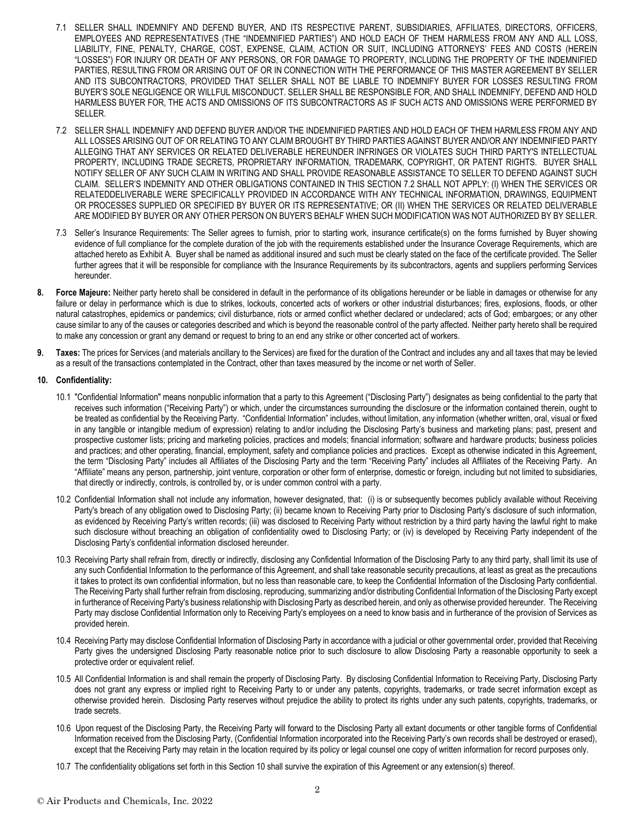- 7.1 SELLER SHALL INDEMNIFY AND DEFEND BUYER, AND ITS RESPECTIVE PARENT, SUBSIDIARIES, AFFILIATES, DIRECTORS, OFFICERS, EMPLOYEES AND REPRESENTATIVES (THE "INDEMNIFIED PARTIES") AND HOLD EACH OF THEM HARMLESS FROM ANY AND ALL LOSS, LIABILITY, FINE, PENALTY, CHARGE, COST, EXPENSE, CLAIM, ACTION OR SUIT, INCLUDING ATTORNEYS' FEES AND COSTS (HEREIN "LOSSES") FOR INJURY OR DEATH OF ANY PERSONS, OR FOR DAMAGE TO PROPERTY, INCLUDING THE PROPERTY OF THE INDEMNIFIED PARTIES, RESULTING FROM OR ARISING OUT OF OR IN CONNECTION WITH THE PERFORMANCE OF THIS MASTER AGREEMENT BY SELLER AND ITS SUBCONTRACTORS, PROVIDED THAT SELLER SHALL NOT BE LIABLE TO INDEMNIFY BUYER FOR LOSSES RESULTING FROM BUYER'S SOLE NEGLIGENCE OR WILLFUL MISCONDUCT. SELLER SHALL BE RESPONSIBLE FOR, AND SHALL INDEMNIFY, DEFEND AND HOLD HARMLESS BUYER FOR, THE ACTS AND OMISSIONS OF ITS SUBCONTRACTORS AS IF SUCH ACTS AND OMISSIONS WERE PERFORMED BY SELLER.
- 7.2 SELLER SHALL INDEMNIFY AND DEFEND BUYER AND/OR THE INDEMNIFIED PARTIES AND HOLD EACH OF THEM HARMLESS FROM ANY AND ALL LOSSES ARISING OUT OF OR RELATING TO ANY CLAIM BROUGHT BY THIRD PARTIES AGAINST BUYER AND/OR ANY INDEMNIFIED PARTY ALLEGING THAT ANY SERVICES OR RELATED DELIVERABLE HEREUNDER INFRINGES OR VIOLATES SUCH THIRD PARTY'S INTELLECTUAL PROPERTY, INCLUDING TRADE SECRETS, PROPRIETARY INFORMATION, TRADEMARK, COPYRIGHT, OR PATENT RIGHTS. BUYER SHALL NOTIFY SELLER OF ANY SUCH CLAIM IN WRITING AND SHALL PROVIDE REASONABLE ASSISTANCE TO SELLER TO DEFEND AGAINST SUCH CLAIM. SELLER'S INDEMNITY AND OTHER OBLIGATIONS CONTAINED IN THIS SECTION 7.2 SHALL NOT APPLY: (I) WHEN THE SERVICES OR RELATEDDELIVERABLE WERE SPECIFICALLY PROVIDED IN ACCORDANCE WITH ANY TECHNICAL INFORMATION, DRAWINGS, EQUIPMENT OR PROCESSES SUPPLIED OR SPECIFIED BY BUYER OR ITS REPRESENTATIVE; OR (II) WHEN THE SERVICES OR RELATED DELIVERABLE ARE MODIFIED BY BUYER OR ANY OTHER PERSON ON BUYER'S BEHALF WHEN SUCH MODIFICATION WAS NOT AUTHORIZED BY BY SELLER.
- 7.3 Seller's Insurance Requirements: The Seller agrees to furnish, prior to starting work, insurance certificate(s) on the forms furnished by Buyer showing evidence of full compliance for the complete duration of the job with the requirements established under the Insurance Coverage Requirements, which are attached hereto as Exhibit A. Buyer shall be named as additional insured and such must be clearly stated on the face of the certificate provided. The Seller further agrees that it will be responsible for compliance with the Insurance Requirements by its subcontractors, agents and suppliers performing Services hereunder.
- **8. Force Majeure:** Neither party hereto shall be considered in default in the performance of its obligations hereunder or be liable in damages or otherwise for any failure or delay in performance which is due to strikes, lockouts, concerted acts of workers or other industrial disturbances; fires, explosions, floods, or other natural catastrophes, epidemics or pandemics; civil disturbance, riots or armed conflict whether declared or undeclared; acts of God; embargoes; or any other cause similar to any of the causes or categories described and which is beyond the reasonable control of the party affected. Neither party hereto shall be required to make any concession or grant any demand or request to bring to an end any strike or other concerted act of workers.
- **9. Taxes:** The prices for Services (and materials ancillary to the Services) are fixed for the duration of the Contract and includes any and all taxes that may be levied as a result of the transactions contemplated in the Contract, other than taxes measured by the income or net worth of Seller.

#### **10. Confidentiality:**

- 10.1 "Confidential Information" means nonpublic information that a party to this Agreement ("Disclosing Party") designates as being confidential to the party that receives such information ("Receiving Party") or which, under the circumstances surrounding the disclosure or the information contained therein, ought to be treated as confidential by the Receiving Party. "Confidential Information" includes, without limitation, any information (whether written, oral, visual or fixed in any tangible or intangible medium of expression) relating to and/or including the Disclosing Party's business and marketing plans; past, present and prospective customer lists; pricing and marketing policies, practices and models; financial information; software and hardware products; business policies and practices; and other operating, financial, employment, safety and compliance policies and practices. Except as otherwise indicated in this Agreement, the term "Disclosing Party" includes all Affiliates of the Disclosing Party and the term "Receiving Party" includes all Affiliates of the Receiving Party. An "Affiliate" means any person, partnership, joint venture, corporation or other form of enterprise, domestic or foreign, including but not limited to subsidiaries, that directly or indirectly, controls, is controlled by, or is under common control with a party.
- 10.2 Confidential Information shall not include any information, however designated, that: (i) is or subsequently becomes publicly available without Receiving Party's breach of any obligation owed to Disclosing Party; (ii) became known to Receiving Party prior to Disclosing Party's disclosure of such information, as evidenced by Receiving Party's written records; (iii) was disclosed to Receiving Party without restriction by a third party having the lawful right to make such disclosure without breaching an obligation of confidentiality owed to Disclosing Party; or (iv) is developed by Receiving Party independent of the Disclosing Party's confidential information disclosed hereunder.
- 10.3 Receiving Party shall refrain from, directly or indirectly, disclosing any Confidential Information of the Disclosing Party to any third party, shall limit its use of any such Confidential Information to the performance of this Agreement, and shall take reasonable security precautions, at least as great as the precautions it takes to protect its own confidential information, but no less than reasonable care, to keep the Confidential Information of the Disclosing Party confidential. The Receiving Party shall further refrain from disclosing, reproducing, summarizing and/or distributing Confidential Information of the Disclosing Party except in furtherance of Receiving Party's business relationship with Disclosing Party as described herein, and only as otherwise provided hereunder. The Receiving Party may disclose Confidential Information only to Receiving Party's employees on a need to know basis and in furtherance of the provision of Services as provided herein.
- 10.4 Receiving Party may disclose Confidential Information of Disclosing Party in accordance with a judicial or other governmental order, provided that Receiving Party gives the undersigned Disclosing Party reasonable notice prior to such disclosure to allow Disclosing Party a reasonable opportunity to seek a protective order or equivalent relief.
- 10.5 All Confidential Information is and shall remain the property of Disclosing Party. By disclosing Confidential Information to Receiving Party, Disclosing Party does not grant any express or implied right to Receiving Party to or under any patents, copyrights, trademarks, or trade secret information except as otherwise provided herein. Disclosing Party reserves without prejudice the ability to protect its rights under any such patents, copyrights, trademarks, or trade secrets.
- 10.6 Upon request of the Disclosing Party, the Receiving Party will forward to the Disclosing Party all extant documents or other tangible forms of Confidential Information received from the Disclosing Party, (Confidential Information incorporated into the Receiving Party's own records shall be destroyed or erased), except that the Receiving Party may retain in the location required by its policy or legal counsel one copy of written information for record purposes only.
- 10.7 The confidentiality obligations set forth in this Section 10 shall survive the expiration of this Agreement or any extension(s) thereof.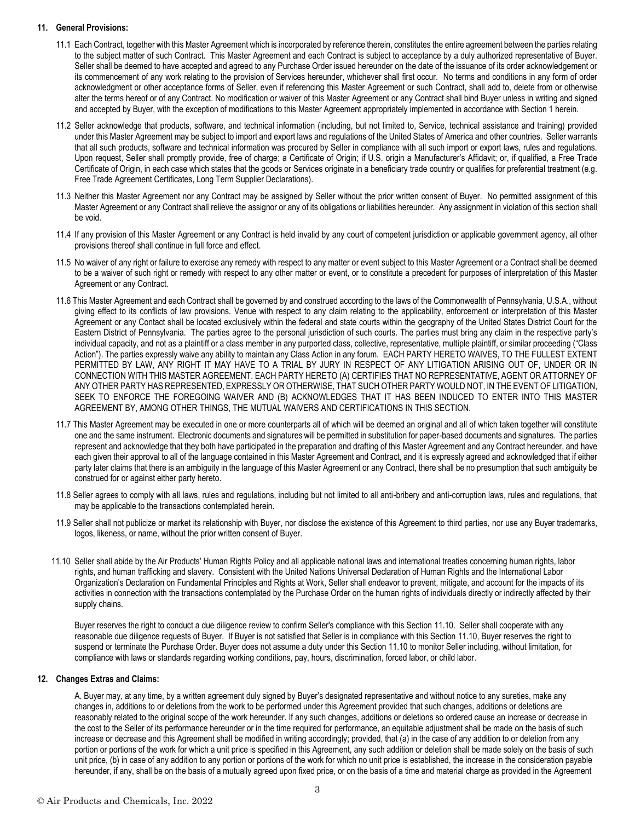#### **11. General Provisions:**

- 11.1 Each Contract, together with this Master Agreement which is incorporated by reference therein, constitutes the entire agreement between the parties relating to the subject matter of such Contract. This Master Agreement and each Contract is subject to acceptance by a duly authorized representative of Buyer. Seller shall be deemed to have accepted and agreed to any Purchase Order issued hereunder on the date of the issuance of its order acknowledgement or its commencement of any work relating to the provision of Services hereunder, whichever shall first occur. No terms and conditions in any form of order acknowledgment or other acceptance forms of Seller, even if referencing this Master Agreement or such Contract, shall add to, delete from or otherwise alter the terms hereof or of any Contract. No modification or waiver of this Master Agreement or any Contract shall bind Buyer unless in writing and signed and accepted by Buyer, with the exception of modifications to this Master Agreement appropriately implemented in accordance with Section 1 herein.
- 11.2 Seller acknowledge that products, software, and technical information (including, but not limited to, Service, technical assistance and training) provided under this Master Agreement may be subject to import and export laws and regulations of the United States of America and other countries. Seller warrants that all such products, software and technical information was procured by Seller in compliance with all such import or export laws, rules and regulations. Upon request, Seller shall promptly provide, free of charge; a Certificate of Origin; if U.S. origin a Manufacturer's Affidavit; or, if qualified, a Free Trade Certificate of Origin, in each case which states that the goods or Services originate in a beneficiary trade country or qualifies for preferential treatment (e.g. Free Trade Agreement Certificates, Long Term Supplier Declarations).
- 11.3 Neither this Master Agreement nor any Contract may be assigned by Seller without the prior written consent of Buyer. No permitted assignment of this Master Agreement or any Contract shall relieve the assignor or any of its obligations or liabilities hereunder. Any assignment in violation of this section shall be void.
- 11.4 If any provision of this Master Agreement or any Contract is held invalid by any court of competent jurisdiction or applicable government agency, all other provisions thereof shall continue in full force and effect.
- 11.5 No waiver of any right or failure to exercise any remedy with respect to any matter or event subject to this Master Agreement or a Contract shall be deemed to be a waiver of such right or remedy with respect to any other matter or event, or to constitute a precedent for purposes of interpretation of this Master Agreement or any Contract.
- 11.6 This Master Agreement and each Contract shall be governed by and construed according to the laws of the Commonwealth of Pennsylvania, U.S.A., without giving effect to its conflicts of law provisions. Venue with respect to any claim relating to the applicability, enforcement or interpretation of this Master Agreement or any Contact shall be located exclusively within the federal and state courts within the geography of the United States District Court for the Eastern District of Pennsylvania. The parties agree to the personal jurisdiction of such courts. The parties must bring any claim in the respective party's individual capacity, and not as a plaintiff or a class member in any purported class, collective, representative, multiple plaintiff, or similar proceeding ("Class Action"). The parties expressly waive any ability to maintain any Class Action in any forum. EACH PARTY HERETO WAIVES, TO THE FULLEST EXTENT PERMITTED BY LAW, ANY RIGHT IT MAY HAVE TO A TRIAL BY JURY IN RESPECT OF ANY LITIGATION ARISING OUT OF, UNDER OR IN CONNECTION WITH THIS MASTER AGREEMENT. EACH PARTY HERETO (A) CERTIFIES THAT NO REPRESENTATIVE, AGENT OR ATTORNEY OF ANY OTHER PARTY HAS REPRESENTED, EXPRESSLY OR OTHERWISE, THAT SUCH OTHER PARTY WOULD NOT, IN THE EVENT OF LITIGATION, SEEK TO ENFORCE THE FOREGOING WAIVER AND (B) ACKNOWLEDGES THAT IT HAS BEEN INDUCED TO ENTER INTO THIS MASTER AGREEMENT BY, AMONG OTHER THINGS, THE MUTUAL WAIVERS AND CERTIFICATIONS IN THIS SECTION.
- 11.7 This Master Agreement may be executed in one or more counterparts all of which will be deemed an original and all of which taken together will constitute one and the same instrument. Electronic documents and signatures will be permitted in substitution for paper-based documents and signatures. The parties represent and acknowledge that they both have participated in the preparation and drafting of this Master Agreement and any Contract hereunder, and have each given their approval to all of the language contained in this Master Agreement and Contract, and it is expressly agreed and acknowledged that if either party later claims that there is an ambiguity in the language of this Master Agreement or any Contract, there shall be no presumption that such ambiguity be construed for or against either party hereto.
- 11.8 Seller agrees to comply with all laws, rules and regulations, including but not limited to all anti-bribery and anti-corruption laws, rules and regulations, that may be applicable to the transactions contemplated herein.
- 11.9 Seller shall not publicize or market its relationship with Buyer, nor disclose the existence of this Agreement to third parties, nor use any Buyer trademarks, logos, likeness, or name, without the prior written consent of Buyer.
- 11.10 Seller shall abide by the Air Products' Human Rights Policy and all applicable national laws and international treaties concerning human rights, labor rights, and human trafficking and slavery. Consistent with the United Nations Universal Declaration of Human Rights and the International Labor Organization's Declaration on Fundamental Principles and Rights at Work, Seller shall endeavor to prevent, mitigate, and account for the impacts of its activities in connection with the transactions contemplated by the Purchase Order on the human rights of individuals directly or indirectly affected by their supply chains.

Buyer reserves the right to conduct a due diligence review to confirm Seller's compliance with this Section 11.10. Seller shall cooperate with any reasonable due diligence requests of Buyer. If Buyer is not satisfied that Seller is in compliance with this Section 11.10, Buyer reserves the right to suspend or terminate the Purchase Order. Buyer does not assume a duty under this Section 11.10 to monitor Seller including, without limitation, for compliance with laws or standards regarding working conditions, pay, hours, discrimination, forced labor, or child labor.

#### **12. Changes Extras and Claims:**

A. Buyer may, at any time, by a written agreement duly signed by Buyer's designated representative and without notice to any sureties, make any changes in, additions to or deletions from the work to be performed under this Agreement provided that such changes, additions or deletions are reasonably related to the original scope of the work hereunder. If any such changes, additions or deletions so ordered cause an increase or decrease in the cost to the Seller of its performance hereunder or in the time required for performance, an equitable adjustment shall be made on the basis of such increase or decrease and this Agreement shall be modified in writing accordingly; provided, that (a) in the case of any addition to or deletion from any portion or portions of the work for which a unit price is specified in this Agreement, any such addition or deletion shall be made solely on the basis of such unit price, (b) in case of any addition to any portion or portions of the work for which no unit price is established, the increase in the consideration payable hereunder, if any, shall be on the basis of a mutually agreed upon fixed price, or on the basis of a time and material charge as provided in the Agreement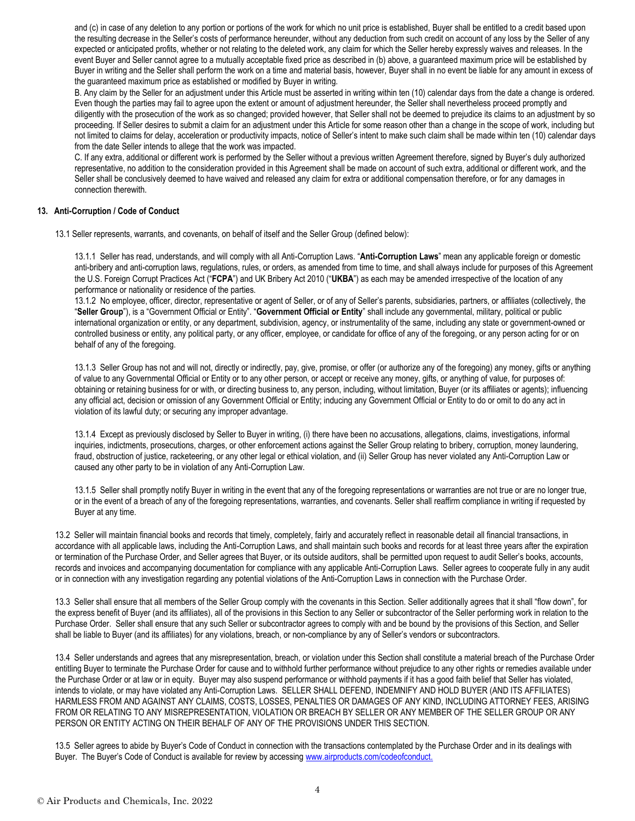and (c) in case of any deletion to any portion or portions of the work for which no unit price is established, Buyer shall be entitled to a credit based upon the resulting decrease in the Seller's costs of performance hereunder, without any deduction from such credit on account of any loss by the Seller of any expected or anticipated profits, whether or not relating to the deleted work, any claim for which the Seller hereby expressly waives and releases. In the event Buyer and Seller cannot agree to a mutually acceptable fixed price as described in (b) above, a guaranteed maximum price will be established by Buyer in writing and the Seller shall perform the work on a time and material basis, however, Buyer shall in no event be liable for any amount in excess of the guaranteed maximum price as established or modified by Buyer in writing.

B. Any claim by the Seller for an adjustment under this Article must be asserted in writing within ten (10) calendar days from the date a change is ordered. Even though the parties may fail to agree upon the extent or amount of adjustment hereunder, the Seller shall nevertheless proceed promptly and diligently with the prosecution of the work as so changed; provided however, that Seller shall not be deemed to prejudice its claims to an adjustment by so proceeding. If Seller desires to submit a claim for an adjustment under this Article for some reason other than a change in the scope of work, including but not limited to claims for delay, acceleration or productivity impacts, notice of Seller's intent to make such claim shall be made within ten (10) calendar days from the date Seller intends to allege that the work was impacted.

C. If any extra, additional or different work is performed by the Seller without a previous written Agreement therefore, signed by Buyer's duly authorized representative, no addition to the consideration provided in this Agreement shall be made on account of such extra, additional or different work, and the Seller shall be conclusively deemed to have waived and released any claim for extra or additional compensation therefore, or for any damages in connection therewith.

#### **13. Anti-Corruption / Code of Conduct**

13.1 Seller represents, warrants, and covenants, on behalf of itself and the Seller Group (defined below):

13.1.1 Seller has read, understands, and will comply with all Anti-Corruption Laws. "**Anti-Corruption Laws**" mean any applicable foreign or domestic anti-bribery and anti-corruption laws, regulations, rules, or orders, as amended from time to time, and shall always include for purposes of this Agreement the U.S. Foreign Corrupt Practices Act ("**FCPA**") and UK Bribery Act 2010 ("**UKBA**") as each may be amended irrespective of the location of any performance or nationality or residence of the parties.

13.1.2 No employee, officer, director, representative or agent of Seller, or of any of Seller's parents, subsidiaries, partners, or affiliates (collectively, the "**Seller Group**"), is a "Government Official or Entity". "**Government Official or Entity**" shall include any governmental, military, political or public international organization or entity, or any department, subdivision, agency, or instrumentality of the same, including any state or government-owned or controlled business or entity, any political party, or any officer, employee, or candidate for office of any of the foregoing, or any person acting for or on behalf of any of the foregoing.

13.1.3 Seller Group has not and will not, directly or indirectly, pay, give, promise, or offer (or authorize any of the foregoing) any money, gifts or anything of value to any Governmental Official or Entity or to any other person, or accept or receive any money, gifts, or anything of value, for purposes of: obtaining or retaining business for or with, or directing business to, any person, including, without limitation, Buyer (or its affiliates or agents); influencing any official act, decision or omission of any Government Official or Entity; inducing any Government Official or Entity to do or omit to do any act in violation of its lawful duty; or securing any improper advantage.

13.1.4 Except as previously disclosed by Seller to Buyer in writing, (i) there have been no accusations, allegations, claims, investigations, informal inquiries, indictments, prosecutions, charges, or other enforcement actions against the Seller Group relating to bribery, corruption, money laundering, fraud, obstruction of justice, racketeering, or any other legal or ethical violation, and (ii) Seller Group has never violated any Anti-Corruption Law or caused any other party to be in violation of any Anti-Corruption Law.

13.1.5 Seller shall promptly notify Buyer in writing in the event that any of the foregoing representations or warranties are not true or are no longer true, or in the event of a breach of any of the foregoing representations, warranties, and covenants. Seller shall reaffirm compliance in writing if requested by Buyer at any time.

13.2 Seller will maintain financial books and records that timely, completely, fairly and accurately reflect in reasonable detail all financial transactions, in accordance with all applicable laws, including the Anti-Corruption Laws, and shall maintain such books and records for at least three years after the expiration or termination of the Purchase Order, and Seller agrees that Buyer, or its outside auditors, shall be permitted upon request to audit Seller's books, accounts, records and invoices and accompanying documentation for compliance with any applicable Anti-Corruption Laws. Seller agrees to cooperate fully in any audit or in connection with any investigation regarding any potential violations of the Anti-Corruption Laws in connection with the Purchase Order.

13.3 Seller shall ensure that all members of the Seller Group comply with the covenants in this Section. Seller additionally agrees that it shall "flow down", for the express benefit of Buyer (and its affiliates), all of the provisions in this Section to any Seller or subcontractor of the Seller performing work in relation to the Purchase Order. Seller shall ensure that any such Seller or subcontractor agrees to comply with and be bound by the provisions of this Section, and Seller shall be liable to Buyer (and its affiliates) for any violations, breach, or non-compliance by any of Seller's vendors or subcontractors.

13.4 Seller understands and agrees that any misrepresentation, breach, or violation under this Section shall constitute a material breach of the Purchase Order entitling Buyer to terminate the Purchase Order for cause and to withhold further performance without prejudice to any other rights or remedies available under the Purchase Order or at law or in equity. Buyer may also suspend performance or withhold payments if it has a good faith belief that Seller has violated, intends to violate, or may have violated any Anti-Corruption Laws. SELLER SHALL DEFEND, INDEMNIFY AND HOLD BUYER (AND ITS AFFILIATES) HARMLESS FROM AND AGAINST ANY CLAIMS, COSTS, LOSSES, PENALTIES OR DAMAGES OF ANY KIND, INCLUDING ATTORNEY FEES, ARISING FROM OR RELATING TO ANY MISREPRESENTATION, VIOLATION OR BREACH BY SELLER OR ANY MEMBER OF THE SELLER GROUP OR ANY PERSON OR ENTITY ACTING ON THEIR BEHALF OF ANY OF THE PROVISIONS UNDER THIS SECTION.

13.5 Seller agrees to abide by Buyer's Code of Conduct in connection with the transactions contemplated by the Purchase Order and in its dealings with Buyer. The Buyer's Code of Conduct is available for review by accessing [www.airproducts.com/codeofconduct.](http://www.airproducts.com/codeofconduct.)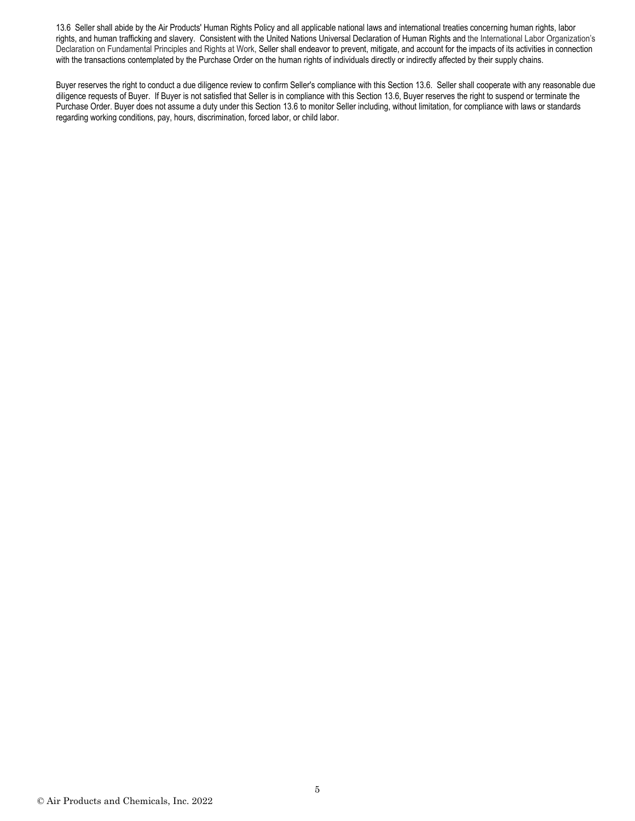13.6 Seller shall abide by the Air Products' Human Rights Policy and all applicable national laws and international treaties concerning human rights, labor rights, and human trafficking and slavery. Consistent with the United Nations Universal Declaration of Human Rights and the International Labor Organization's Declaration on Fundamental Principles and Rights at Work, Seller shall endeavor to prevent, mitigate, and account for the impacts of its activities in connection with the transactions contemplated by the Purchase Order on the human rights of individuals directly or indirectly affected by their supply chains.

Buyer reserves the right to conduct a due diligence review to confirm Seller's compliance with this Section 13.6. Seller shall cooperate with any reasonable due diligence requests of Buyer. If Buyer is not satisfied that Seller is in compliance with this Section 13.6, Buyer reserves the right to suspend or terminate the Purchase Order. Buyer does not assume a duty under this Section 13.6 to monitor Seller including, without limitation, for compliance with laws or standards regarding working conditions, pay, hours, discrimination, forced labor, or child labor.